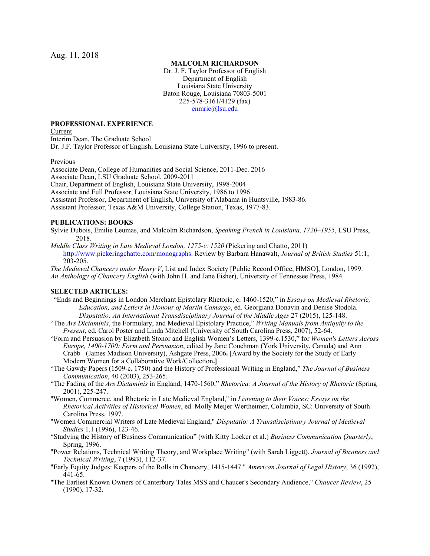### **MALCOLM RICHARDSON**

Dr. J. F. Taylor Professor of English Department of English Louisiana State University Baton Rouge, Louisiana 70803-5001 225-578-3161/4129 (fax) [enmric@lsu.edu](mailto:enmric@lsu.edu)

## **PROFESSIONAL EXPERIENCE**

Current Interim Dean, The Graduate School

Dr. J.F. Taylor Professor of English, Louisiana State University, 1996 to present.

#### Previous

Associate Dean, College of Humanities and Social Science, 2011-Dec. 2016 Associate Dean, LSU Graduate School, 2009-2011 Chair, Department of English, Louisiana State University, 1998-2004 Associate and Full Professor, Louisiana State University, 1986 to 1996 Assistant Professor, Department of English, University of Alabama in Huntsville, 1983-86. Assistant Professor, Texas A&M University, College Station, Texas, 1977-83.

## **PUBLICATIONS: BOOKS**

- Sylvie Dubois, Emilie Leumas, and Malcolm Richardson, *Speaking French in Louisiana, 1720–1955*, LSU Press, 2018.
- *Middle Class Writing in Late Medieval London, 1275-c. 1520* (Pickering and Chatto, 2011) [http://www.pickeringchatto.com/monographs.](http://www.pickeringchatt/hich/af0/dbch/af31505/loch/f0%20o.com/monographs) Review by Barbara Hanawalt, *Journal of British Studies* 51:1, 203-205.

*The Medieval Chancery under Henry V*, List and Index Society [Public Record Office, HMSO], London, 1999. *An Anthology of Chancery English* (with John H. and Jane Fisher), University of Tennessee Press, 1984.

# **SELECTED ARTICLES:**

- "Ends and Beginnings in London Merchant Epistolary Rhetoric, c. 1460-1520," in *Essays on Medieval Rhetoric, Education, and Letters in Honour of Martin Camargo*, ed. Georgiana Donavin and Denise Stodola. *Disputatio: An International Transdisciplinary Journal of the Middle Ages* 27 (2015), 125-148.
- "The *Ars Dictaminis*, the Formulary, and Medieval Epistolary Practice," *Writing Manuals from Antiquity to the Present*, ed. Carol Poster and Linda Mitchell (University of South Carolina Press, 2007), 52-64.
- "Form and Persuasion by Elizabeth Stonor and English Women's Letters, 1399-c.1530," for *Women's Letters Across Europe, 1400-1700: Form and Persuasion*, edited by Jane Couchman (York University, Canada) and Ann Crabb (James Madison University), Ashgate Press, 2006**. [**Award by the Society for the Study of Early Modern Women for a Collaborative Work/Collection**.]**
- "The Gawdy Papers (1509-c. 1750) and the History of Professional Writing in England," *The Journal of Business Communication*, 40 (2003), 253-265.
- "The Fading of the *Ars Dictaminis* in England, 1470-1560," *Rhetorica: A Journal of the History of Rhetoric* (Spring 2001), 225-247.
- "Women, Commerce, and Rhetoric in Late Medieval England," in *Listening to their Voices: Essays on the Rhetorical Activities of Historical Women*, ed. Molly Meijer Wertheimer, Columbia, SC: University of South Carolina Press, 1997.
- "Women Commercial Writers of Late Medieval England," *Disputatio: A Transdisciplinary Journal of Medieval Studies* 1.1 (1996), 123-46.
- "Studying the History of Business Communication" (with Kitty Locker et al.) *Business Communication Quarterly*, Spring, 1996.
- "Power Relations, Technical Writing Theory, and Workplace Writing" (with Sarah Liggett). *Journal of Business and Technical Writing*, 7 (1993), 112-37.
- "Early Equity Judges: Keepers of the Rolls in Chancery, 1415-1447." *American Journal of Legal History*, 36 (1992), 441-65.
- "The Earliest Known Owners of Canterbury Tales MSS and Chaucer's Secondary Audience," *Chaucer Review*, 25 (1990), 17-32.